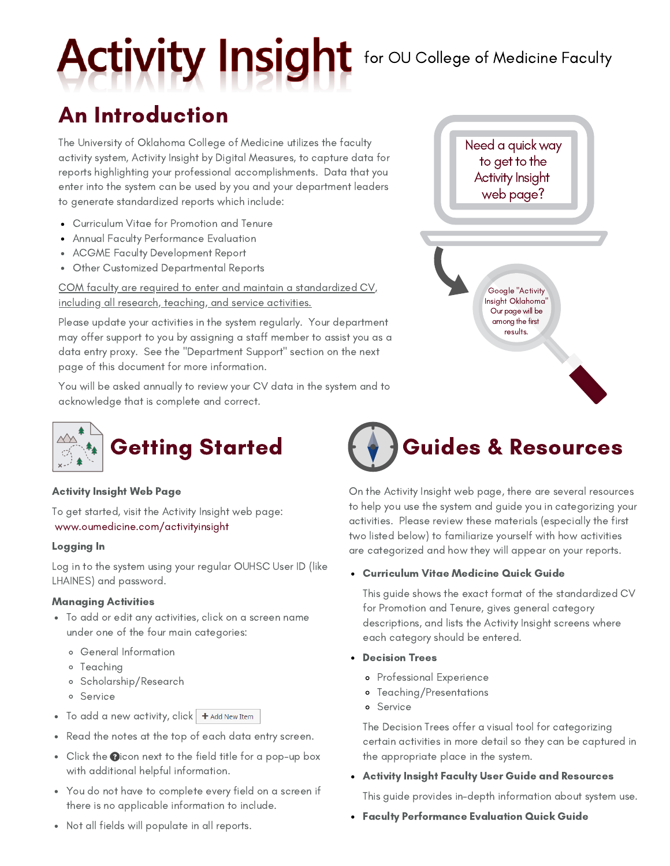# Activity Insight for OU College of Medicine Faculty

### An Introduction

The University of Oklahoma College of Medicine utilizes the faculty activity system, Activity Insight by Digital Measures, to capture data for reports highlighting your professional accomplishments. Data that you enter into the system can be used by you and your department leaders to generate standardized reports which include:

- Curriculum Vitae for Promotion and Tenure
- Annual Faculty Performance Evaluation
- ACGME Faculty Development Report
- Other Customized Departmental Reports

COM faculty are required to enter and maintain a standardized CV, including all research, teaching, and service activities.

Please update your activities in the system regularly. Your department may offer support to you by assigning a staff member to assist you as a data entry proxy. See the "Department Support" section on the next page of this document for more information.

You will be asked annually to review your CV data in the system and to acknowledge that is complete and correct.



### Activity Insight Web Page

To get started, visit the Activity Insight web page: www.oumedicine.com/activityinsight

### Logging In

Log in to the system using your regular OUHSC User ID (like LHAINES) and password.

### Managing Activities

- To add or edit any activities, click on a screen name under one of the four main categories:
	- General Information
	- Teaching
	- Scholarship/Research
	- Service
- $\bullet$  To add a new activity, click  $\bullet$  + Add New Item
- Read the notes at the top of each data entry screen.
- $\bullet$  Click the **O** icon next to the field title for a pop-up box with additional helpful information.
- You do not have to complete every field on a screen if there is no applicable information to include.



### Curriculum Vitae Medicine Quick Guide

This guide shows the exact format of the standardized CV for Promotion and Tenure, gives general category descriptions, and lists the Activity Insight screens where each category should be entered.

- Decision Trees
	- Professional Experience
	- Teaching/Presentations
	- Service

The Decision Trees offer a visual tool for categorizing certain activities in more detail so they can be captured in the appropriate place in the system.

Activity Insight Faculty User Guide and Resources

This guide provides in-depth information about system use.

Faculty Performance Evaluation Quick Guide

Not all fields will populate in all reports.